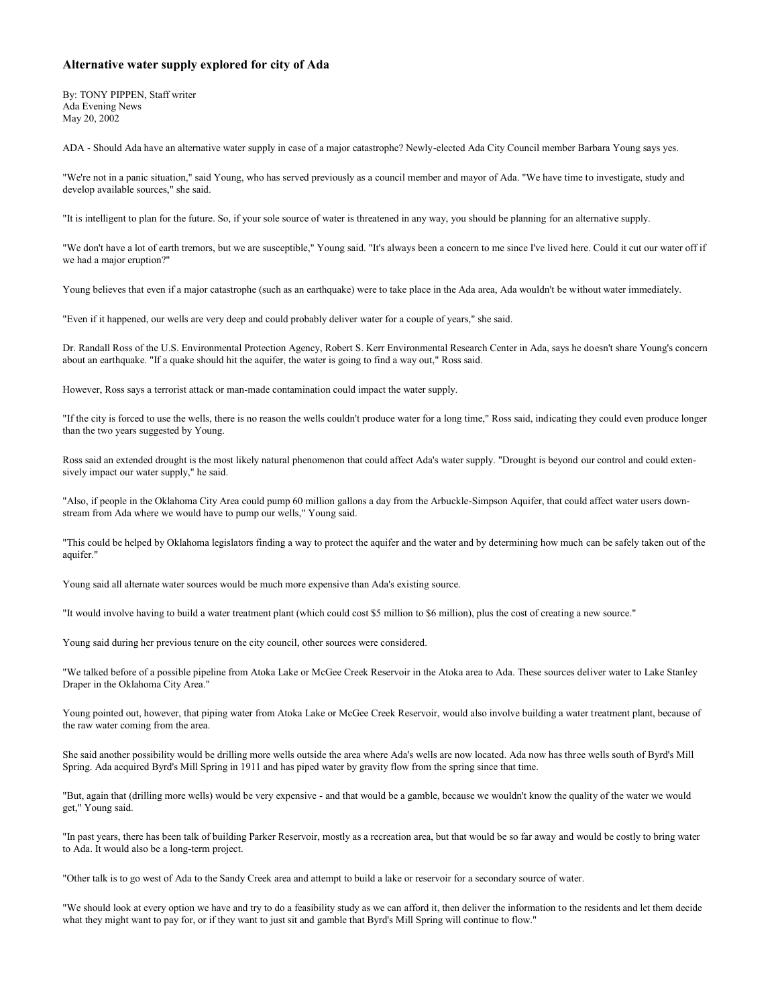## **Alternative water supply explored for city of Ada**

By: TONY PIPPEN, Staff writer Ada Evening News May 20, 2002

ADA - Should Ada have an alternative water supply in case of a major catastrophe? Newly-elected Ada City Council member Barbara Young says yes.

"We're not in a panic situation," said Young, who has served previously as a council member and mayor of Ada. "We have time to investigate, study and develop available sources," she said.

"It is intelligent to plan for the future. So, if your sole source of water is threatened in any way, you should be planning for an alternative supply.

"We don't have a lot of earth tremors, but we are susceptible," Young said. "It's always been a concern to me since I've lived here. Could it cut our water off if we had a major eruption?"

Young believes that even if a major catastrophe (such as an earthquake) were to take place in the Ada area, Ada wouldn't be without water immediately.

"Even if it happened, our wells are very deep and could probably deliver water for a couple of years," she said.

Dr. Randall Ross of the U.S. Environmental Protection Agency, Robert S. Kerr Environmental Research Center in Ada, says he doesn't share Young's concern about an earthquake. "If a quake should hit the aquifer, the water is going to find a way out," Ross said.

However, Ross says a terrorist attack or man-made contamination could impact the water supply.

"If the city is forced to use the wells, there is no reason the wells couldn't produce water for a long time," Ross said, indicating they could even produce longer than the two years suggested by Young.

Ross said an extended drought is the most likely natural phenomenon that could affect Ada's water supply. "Drought is beyond our control and could extensively impact our water supply," he said.

"Also, if people in the Oklahoma City Area could pump 60 million gallons a day from the Arbuckle-Simpson Aquifer, that could affect water users downstream from Ada where we would have to pump our wells," Young said.

"This could be helped by Oklahoma legislators finding a way to protect the aquifer and the water and by determining how much can be safely taken out of the aquifer."

Young said all alternate water sources would be much more expensive than Ada's existing source.

"It would involve having to build a water treatment plant (which could cost \$5 million to \$6 million), plus the cost of creating a new source."

Young said during her previous tenure on the city council, other sources were considered.

"We talked before of a possible pipeline from Atoka Lake or McGee Creek Reservoir in the Atoka area to Ada. These sources deliver water to Lake Stanley Draper in the Oklahoma City Area."

Young pointed out, however, that piping water from Atoka Lake or McGee Creek Reservoir, would also involve building a water treatment plant, because of the raw water coming from the area.

She said another possibility would be drilling more wells outside the area where Ada's wells are now located. Ada now has three wells south of Byrd's Mill Spring. Ada acquired Byrd's Mill Spring in 1911 and has piped water by gravity flow from the spring since that time.

"But, again that (drilling more wells) would be very expensive - and that would be a gamble, because we wouldn't know the quality of the water we would get," Young said.

"In past years, there has been talk of building Parker Reservoir, mostly as a recreation area, but that would be so far away and would be costly to bring water to Ada. It would also be a long-term project.

"Other talk is to go west of Ada to the Sandy Creek area and attempt to build a lake or reservoir for a secondary source of water.

"We should look at every option we have and try to do a feasibility study as we can afford it, then deliver the information to the residents and let them decide what they might want to pay for, or if they want to just sit and gamble that Byrd's Mill Spring will continue to flow."